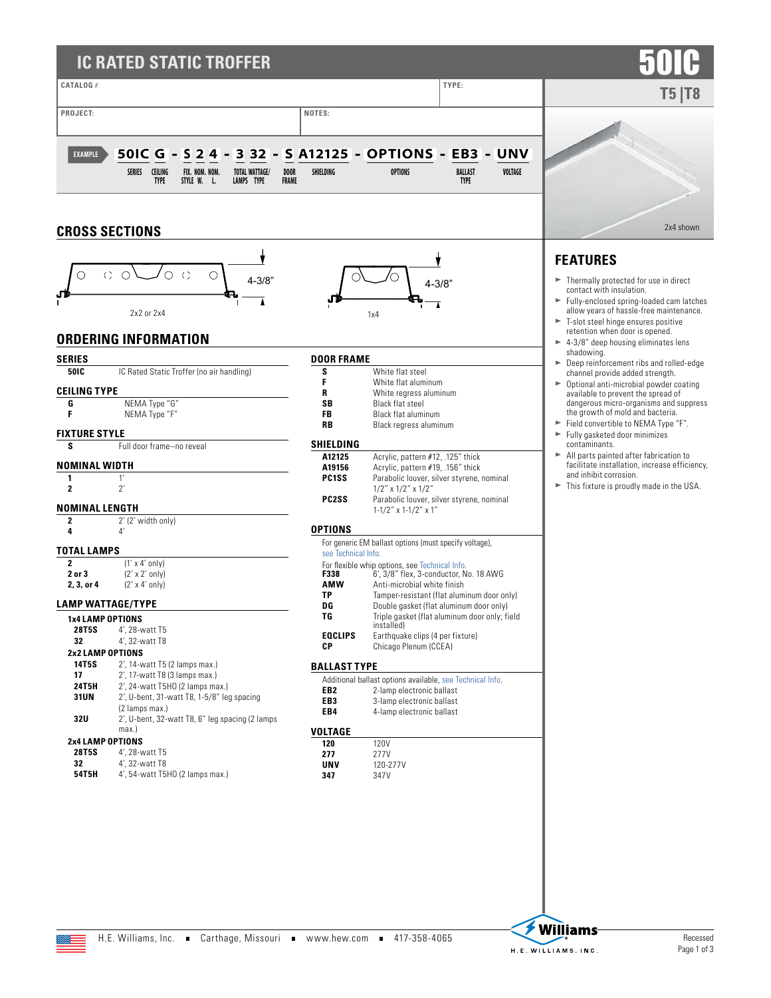## **IC RATED STATIC TROFFER**



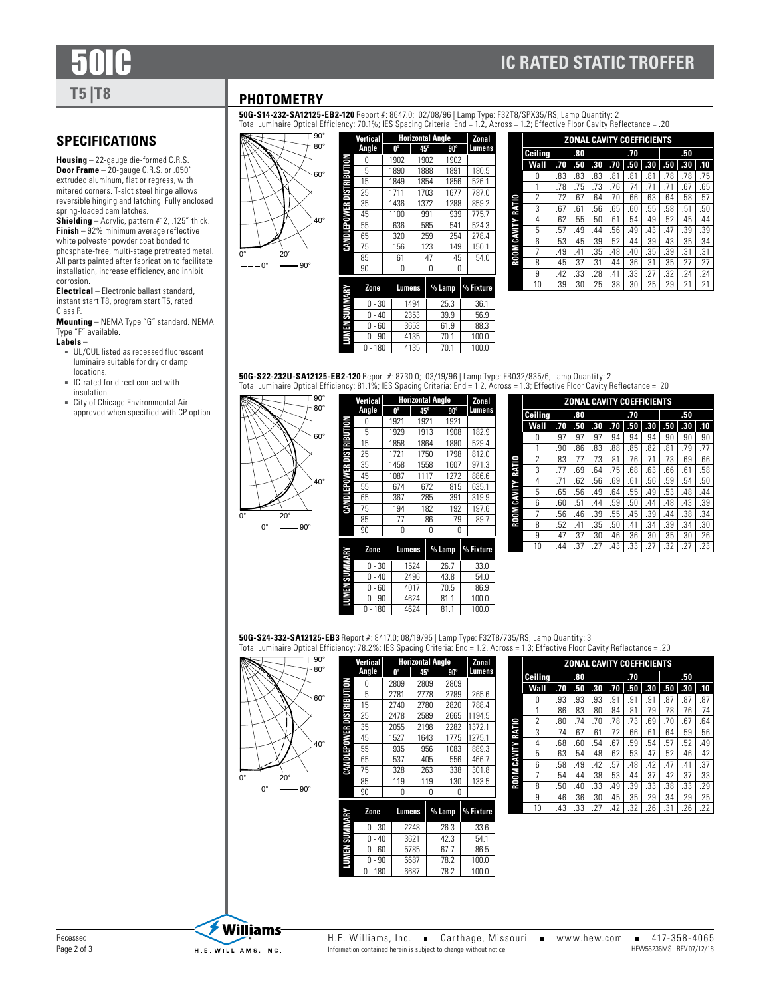# **T5 |T8**

**SPECIFICATIONS**

spring-loaded cam latches.

corrosion.

Class P.

Type "F" available. **Labels** –

locations.

insulation.

**Housing** – 22-gauge die-formed C.R.S. **Door Frame** – 20-gauge C.R.S. or .050" extruded aluminum, flat or regress, with mitered corners. T-slot steel hinge allows reversible hinging and latching. Fully enclosed

**Shielding** – Acrylic, pattern #12, .125" thick. **Finish** – 92% minimum average reflective white polyester powder coat bonded to phosphate-free, multi-stage pretreated metal. All parts painted after fabrication to facilitate installation, increase efficiency, and inhibit

**Electrical** – Electronic ballast standard, instant start T8, program start T5, rated

**Mounting** – NEMA Type "G" standard. NEMA

■ UL/CUL listed as recessed fluorescent luminaire suitable for dry or damp

■ IC-rated for direct contact with

■ City of Chicago Environmental Air approved when specified with CP option.

#### **PHOTOMETRY**

**50G-S14-232-SA12125-EB2-120** Report #: 8647.0; 02/08/96 | Lamp Type: F32T8/SPX35/RS; Lamp Quantity: 2<br>Total Luminaire Optical Efficiency: 70.1%; IES Spacing Criteria: End = 1.2, Across = 1.2; Effective Floor Cavity Refle



|              | <b>Vertical</b> | <b>Horizontal Angle</b> | Zonal        |     |            |  |               |  |
|--------------|-----------------|-------------------------|--------------|-----|------------|--|---------------|--|
|              | Angle           | 0°                      | $45^{\circ}$ |     | $90^\circ$ |  | <b>Lumens</b> |  |
|              | Ω               | 1902                    | 1902         |     | 1902       |  |               |  |
|              | 5               | 1890                    | 1888         |     | 1891       |  | 180.5         |  |
|              | 15              | 1849                    | 1854         |     | 1856       |  | 526.1         |  |
| NOILN8 HJSID | 25              | 1711                    | 1703         |     | 1677       |  | 787.0         |  |
|              | 35              | 1436                    | 1372         |     | 1288       |  | 859.2         |  |
| CANDLEPOWER  | 45              | 1100                    |              | 991 | 939        |  | 775.7         |  |
|              | 55              | 636                     |              | 585 | 541        |  | 524.3         |  |
|              | 65              | 320                     |              | 259 | 254        |  | 278.4         |  |
|              | 75              | 156                     |              | 123 | 149        |  | 150.1         |  |
|              | 85              | 61                      |              | 47  | 45         |  | 54.0          |  |
|              | 90              | N                       |              | N   | N          |  |               |  |
|              |                 |                         |              |     |            |  |               |  |
| ABM SIN MWY  | Zone            | Lumens                  |              |     | % Lamp     |  | % Fixture     |  |
|              | $0 - 30$        |                         | 1494         |     | 25.3       |  | 36.1          |  |
|              | $-40$<br>N      |                         | 2353         |     | 39.9       |  | 56.9          |  |
|              | - 60<br>N       |                         | 3653         |     | 61.9       |  | 88.3          |  |
|              | - 90<br>Ω       |                         | 4135         |     | 70.1       |  | 100.0         |  |
|              |                 |                         |              |     |            |  |               |  |

|                   | <b>ZONAL CAVITY COEFFICIENTS</b> |     |     |     |     |     |     |     |     |     |  |  |
|-------------------|----------------------------------|-----|-----|-----|-----|-----|-----|-----|-----|-----|--|--|
|                   | Ceiling                          | .80 |     |     |     | .70 |     |     | .50 |     |  |  |
|                   | Wall                             | .70 | .50 | .30 | .70 | .50 | .30 | .50 | .30 | .10 |  |  |
|                   | 0                                | .83 | .83 | .83 | .81 | .81 | .81 | .78 | .78 | .75 |  |  |
|                   |                                  | .78 | .75 | .73 | .76 | .74 | .71 | .71 | .67 | .65 |  |  |
|                   | 2                                | .72 | .67 | .64 | .70 | .66 | .63 | .64 | .58 | .57 |  |  |
|                   | 3                                | .67 | .61 | .56 | .65 | .60 | .55 | .58 | .51 | .50 |  |  |
|                   | 4                                | .62 | .55 | .50 | .61 | .54 | .49 | .52 | .45 | .44 |  |  |
|                   | 5                                | .57 | .49 | .44 | .56 | .49 | .43 | .47 | .39 | .39 |  |  |
| ROOM CAVITY RATIO | 6                                | .53 | .45 | .39 | .52 | .44 | .39 | .43 | .35 | .34 |  |  |
|                   | 7                                | .49 | .41 | .35 | .48 | .40 | .35 | .39 | .31 | .31 |  |  |
|                   | 8                                | .45 | .37 | .31 | .44 | .36 | .31 | .35 | .27 | .27 |  |  |
|                   | 9                                | .42 | .33 | .28 | .41 | .33 | .27 | .32 | .24 | .24 |  |  |
|                   | 10                               | .39 | .30 | .25 | .38 | .30 | .25 | .29 | .21 | .21 |  |  |

### **50G-S22-232U-SA12125-EB2-120** Report #: 8730.0; 03/19/96 | Lamp Type: FB032/835/6; Lamp Quantity: 2<br>Total Luminaire Optical Efficiency: 81.1%; IES Spacing Criteria: End = 1.2, Across = 1.3; Effective Floor Cavity Reflect

 $0 - 180$  4135 70.1 100.0

**Horizontal Angle 0º 45º 90º Lumens** 0 1921 1921 1921

**Vertical Angle**

 $0 - 180$ 

90° 0° 20° 40° 80°  $-0^{\circ}$  90° 60° **CANDLEPOWER DISTRIBUTION**

|        | 5          | 1929 |        | 1913 |    | 1908     |  | 182.9     |
|--------|------------|------|--------|------|----|----------|--|-----------|
| DISTRB | 15         |      | 1858   | 1864 |    | 1880     |  | 529.4     |
|        | 25         |      | 1721   | 1750 |    | 1798     |  | 812.0     |
| Ê      | 35         |      | 1458   | 1558 |    | 1607     |  | 971.3     |
|        | 45         |      | 1087   | 1117 |    | 1272     |  | 886.6     |
| 6<br>B | 55         |      | 674    | 672  |    | 815      |  | 635.1     |
|        | 65         | 367  |        | 285  |    | 391      |  | 319.9     |
| CANDL  | 75         | 194  |        | 182  |    | 192      |  | 197.6     |
|        | 85         | 77   |        |      | 86 | 79       |  | 89.7      |
|        | 90         |      | 0      | Ω    |    | Ω        |  |           |
|        | Zone       |      |        |      |    |          |  |           |
|        |            |      | Lumens |      |    | $%$ Lamp |  | % Fixture |
|        | $0 - 30$   |      |        | 1524 |    | 26.7     |  | 33.0      |
|        | 0<br>$-40$ |      |        | 2496 |    | 43.8     |  | 54.0      |
| 3      | $-60$<br>0 |      |        | 4017 |    | 70.5     |  | 86.9      |
|        | - 90<br>0  |      |        | 4624 |    | 81.1     |  | 100.0     |

|             |                | <b>ZONAL CAVITY COEFFICIENTS</b> |     |     |     |     |     |     |     |     |  |  |  |
|-------------|----------------|----------------------------------|-----|-----|-----|-----|-----|-----|-----|-----|--|--|--|
|             | <b>Ceiling</b> |                                  | .80 |     | .70 |     |     | .50 |     |     |  |  |  |
|             | Wall           | .70                              | .50 | .30 | .70 | .50 | .30 | .50 | .30 | .10 |  |  |  |
|             | N              | .97                              | .97 | .97 | .94 | .94 | .94 | .90 | .90 | .90 |  |  |  |
|             |                | .90                              | .86 | .83 | .88 | .85 | .82 | .81 | .79 | .77 |  |  |  |
|             | 2              | .83                              | .77 | .73 | .81 | .76 | .71 | .73 | .69 | .66 |  |  |  |
| RATIO       | 3              | .77                              | .69 | .64 | .75 | .68 | .63 | .66 | .61 | .58 |  |  |  |
|             | 4              | .71                              | .62 | .56 | .69 | .61 | .56 | .59 | .54 | .50 |  |  |  |
|             | 5              | .65                              | .56 | .49 | .64 | .55 | .49 | .53 | .48 | .44 |  |  |  |
| ROOM CAVITY | 6              | .60                              | .51 | .44 | .59 | .50 | .44 | .48 | .43 | .39 |  |  |  |
|             | 7              | .56                              | .46 | .39 | .55 | .45 | .39 | .44 | .38 | .34 |  |  |  |
|             | 8              | .52                              | .41 | .35 | .50 | .41 | .34 | .39 | .34 | .30 |  |  |  |
|             | 9              | .47                              | .37 | .30 | .46 | .36 | .30 | .35 | .30 | .26 |  |  |  |
|             | 10             | .44                              | .37 | 27  | .43 | .33 | 27  | .32 | 27  | 23  |  |  |  |

**50G-S24-332-SA12125-EB3** Report #: 8417.0; 08/19/95 | Lamp Type: F32T8/735/RS; Lamp Quantity: 3 al Efficiency: 78.2%; IES Spacing Criteria: End = 1.2, Across = 1.3; Effective Floor Cavity Reflectance = .20

0 - 90 | 4624 | 81.1 | 100.0<br>0 - 180 | 4624 | 81.1 | 100.0

| , , , , , ,<br>commune option of |
|----------------------------------|
| $\frac{90^{\circ}}{80^{\circ}}$  |
|                                  |
|                                  |
|                                  |
| $60^{\circ}$                     |
|                                  |
|                                  |
|                                  |
|                                  |
|                                  |
| $40^{\circ}$                     |
|                                  |
|                                  |
| $\overline{0}$<br>$20^\circ$     |
|                                  |
| $90^\circ$<br>$0^{\circ}$        |
|                                  |
|                                  |

|                 | <b>Vertical</b> |        | <b>Horizontal Angle</b> |      |            |       |           |  |
|-----------------|-----------------|--------|-------------------------|------|------------|-------|-----------|--|
|                 | Angle           | 0°     | $45^{\circ}$            |      | $90^\circ$ |       | Lumens    |  |
|                 | Ω               | 2809   | 2809                    |      | 2809       |       |           |  |
| DISPERSITY      | 5               | 2781   | 2778                    |      | 2789       |       | 265.6     |  |
|                 | 15              | 2740   | 2780                    |      | 2820       |       | 788.4     |  |
|                 | 25              | 2478   | 2589                    |      | 2665       |       | 1194.5    |  |
|                 | 35              | 2055   | 2198                    |      | 2282       |       | 1372.1    |  |
| ţ               | 45              | 1527   | 1643                    |      | 1775       |       | 1275.1    |  |
| ude i lui NYA   | 55              | 935    | 956                     |      | 1083       |       | 889.3     |  |
|                 | 65              | 537    |                         | 405  | 556        |       | 466.7     |  |
|                 | 75              | 328    |                         | 263  | 338        |       | 301.8     |  |
|                 | 85              | 119    |                         | 119  | 130        |       | 133.5     |  |
|                 | 90              | 0      |                         |      | N<br>N     |       |           |  |
|                 |                 |        |                         |      |            |       |           |  |
| <b>ABM MINS</b> | Zone            | Lumens |                         |      | % Lamp     |       | % Fixture |  |
|                 | $-30$<br>0      |        | 2248                    |      | 26.3       |       | 33.6      |  |
|                 | $-40$<br>0      |        | 3621                    |      | 42.3       |       | 54.1      |  |
|                 | 60<br>0         |        | 5785                    | 67.7 |            |       | 86.5      |  |
| É               | $-90$<br>N      |        | 6687                    | 78.2 |            | 100.0 |           |  |
|                 | 180<br>0        |        | 6687                    | 78.2 |            | 100.0 |           |  |

|             | <b>ZONAL CAVITY COEFFICIENTS</b> |     |     |     |     |     |     |     |     |     |  |
|-------------|----------------------------------|-----|-----|-----|-----|-----|-----|-----|-----|-----|--|
|             | <b>Ceiling</b>                   |     | .80 |     |     | .70 |     | .50 |     |     |  |
|             | Wall                             | .70 | .50 | .30 | .70 | .50 | .30 | .50 | .30 | .10 |  |
|             | 0                                | .93 | .93 | .93 | .91 | .91 | .91 | .87 | .87 | .87 |  |
|             |                                  | .86 | .83 | .80 | .84 | .81 | .79 | .78 | .76 | .74 |  |
|             | 2                                | .80 | .74 | .70 | .78 | .73 | .69 | .70 | .67 | .64 |  |
| RATIO       | 3                                | .74 | .67 | .61 | .72 | .66 | .61 | .64 | .59 | .56 |  |
|             | 4                                | .68 | .60 | .54 | .67 | .59 | .54 | .57 | .52 | .49 |  |
| ROOM CAVITY | 5                                | .63 | .54 | .48 | .62 | .53 | .47 | .52 | .46 | .42 |  |
|             | 6                                | .58 | .49 | .42 | .57 | .48 | .42 | .47 | .41 | .37 |  |
|             | 7                                | .54 | .44 | .38 | .53 | .44 | .37 | .42 | .37 | .33 |  |
|             | ጸ                                | .50 | .40 | .33 | .49 | .39 | .33 | .38 | .33 | .29 |  |
|             | 9                                | .46 | .36 | .30 | .45 | .35 | .29 | .34 | .29 | .25 |  |
|             | 10                               | .43 | .33 | 27  | 42  | .32 | 26  | .31 | 26  | 22  |  |

|  | H.E. Williams, Inc.                                               |  | Carthage, Miss |  |
|--|-------------------------------------------------------------------|--|----------------|--|
|  | Information contained herein is subject to change without notice. |  |                |  |

**Williams**